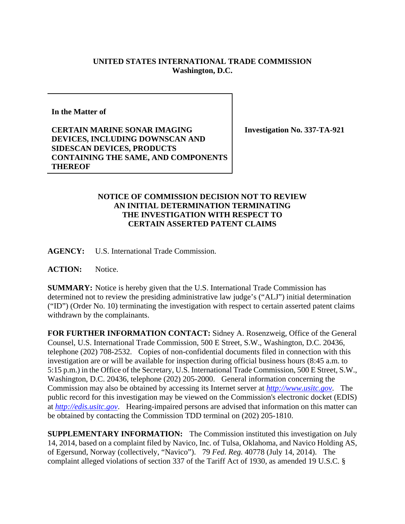## **UNITED STATES INTERNATIONAL TRADE COMMISSION Washington, D.C.**

**In the Matter of** 

**CERTAIN MARINE SONAR IMAGING DEVICES, INCLUDING DOWNSCAN AND SIDESCAN DEVICES, PRODUCTS CONTAINING THE SAME, AND COMPONENTS THEREOF** 

**Investigation No. 337-TA-921** 

## **NOTICE OF COMMISSION DECISION NOT TO REVIEW AN INITIAL DETERMINATION TERMINATING THE INVESTIGATION WITH RESPECT TO CERTAIN ASSERTED PATENT CLAIMS**

**AGENCY:** U.S. International Trade Commission.

**ACTION:** Notice.

**SUMMARY:** Notice is hereby given that the U.S. International Trade Commission has determined not to review the presiding administrative law judge's ("ALJ") initial determination ("ID") (Order No. 10) terminating the investigation with respect to certain asserted patent claims withdrawn by the complainants.

**FOR FURTHER INFORMATION CONTACT:** Sidney A. Rosenzweig, Office of the General Counsel, U.S. International Trade Commission, 500 E Street, S.W., Washington, D.C. 20436, telephone (202) 708-2532. Copies of non-confidential documents filed in connection with this investigation are or will be available for inspection during official business hours (8:45 a.m. to 5:15 p.m.) in the Office of the Secretary, U.S. International Trade Commission, 500 E Street, S.W., Washington, D.C. 20436, telephone (202) 205-2000. General information concerning the Commission may also be obtained by accessing its Internet server at *http://www.usitc.gov*. The public record for this investigation may be viewed on the Commission's electronic docket (EDIS) at *http://edis.usitc.gov*. Hearing-impaired persons are advised that information on this matter can be obtained by contacting the Commission TDD terminal on (202) 205-1810.

**SUPPLEMENTARY INFORMATION:** The Commission instituted this investigation on July 14, 2014, based on a complaint filed by Navico, Inc. of Tulsa, Oklahoma, and Navico Holding AS, of Egersund, Norway (collectively, "Navico"). 79 *Fed. Reg.* 40778 (July 14, 2014). The complaint alleged violations of section 337 of the Tariff Act of 1930, as amended 19 U.S.C. §